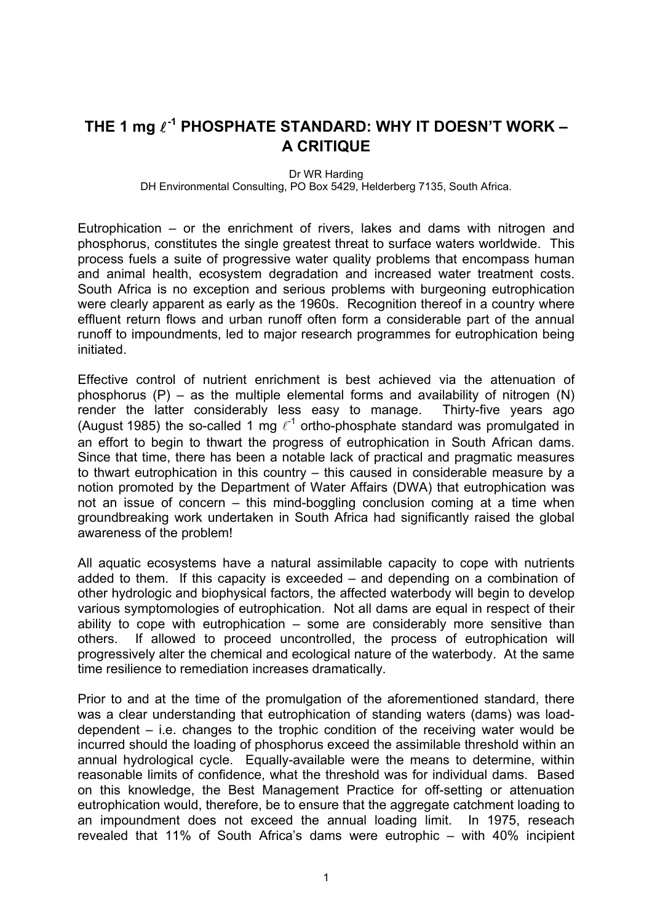## THE 1 mg  $\ell^{-1}$  PHOSPHATE STANDARD: WHY IT DOESN'T WORK – **A CRITIQUE**

Dr WR Harding

DH Environmental Consulting, PO Box 5429, Helderberg 7135, South Africa.

Eutrophication – or the enrichment of rivers, lakes and dams with nitrogen and phosphorus, constitutes the single greatest threat to surface waters worldwide. This process fuels a suite of progressive water quality problems that encompass human and animal health, ecosystem degradation and increased water treatment costs. South Africa is no exception and serious problems with burgeoning eutrophication were clearly apparent as early as the 1960s. Recognition thereof in a country where effluent return flows and urban runoff often form a considerable part of the annual runoff to impoundments, led to major research programmes for eutrophication being initiated.

Effective control of nutrient enrichment is best achieved via the attenuation of phosphorus  $(P)$  – as the multiple elemental forms and availability of nitrogen  $(N)$ render the latter considerably less easy to manage. Thirty-five years ago (August 1985) the so-called 1 mg  $\ell^{-1}$  ortho-phosphate standard was promulgated in an effort to begin to thwart the progress of eutrophication in South African dams. Since that time, there has been a notable lack of practical and pragmatic measures to thwart eutrophication in this country – this caused in considerable measure by a notion promoted by the Department of Water Affairs (DWA) that eutrophication was not an issue of concern – this mind-boggling conclusion coming at a time when groundbreaking work undertaken in South Africa had significantly raised the global awareness of the problem!

All aquatic ecosystems have a natural assimilable capacity to cope with nutrients added to them. If this capacity is exceeded – and depending on a combination of other hydrologic and biophysical factors, the affected waterbody will begin to develop various symptomologies of eutrophication. Not all dams are equal in respect of their ability to cope with eutrophication – some are considerably more sensitive than others. If allowed to proceed uncontrolled, the process of eutrophication will progressively alter the chemical and ecological nature of the waterbody. At the same time resilience to remediation increases dramatically.

Prior to and at the time of the promulgation of the aforementioned standard, there was a clear understanding that eutrophication of standing waters (dams) was loaddependent – i.e. changes to the trophic condition of the receiving water would be incurred should the loading of phosphorus exceed the assimilable threshold within an annual hydrological cycle. Equally-available were the means to determine, within reasonable limits of confidence, what the threshold was for individual dams. Based on this knowledge, the Best Management Practice for off-setting or attenuation eutrophication would, therefore, be to ensure that the aggregate catchment loading to an impoundment does not exceed the annual loading limit. In 1975, reseach revealed that 11% of South Africa's dams were eutrophic – with 40% incipient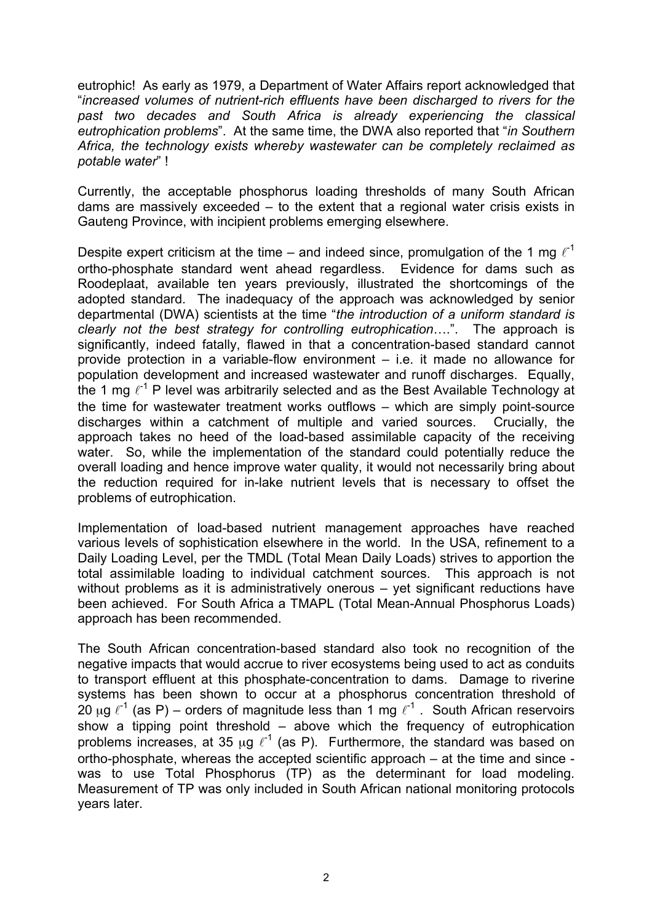eutrophic! As early as 1979, a Department of Water Affairs report acknowledged that "*increased volumes of nutrient-rich effluents have been discharged to rivers for the past two decades and South Africa is already experiencing the classical eutrophication problems*". At the same time, the DWA also reported that "*in Southern Africa, the technology exists whereby wastewater can be completely reclaimed as potable water*" !

Currently, the acceptable phosphorus loading thresholds of many South African dams are massively exceeded – to the extent that a regional water crisis exists in Gauteng Province, with incipient problems emerging elsewhere.

Despite expert criticism at the time – and indeed since, promulgation of the 1 mg  $\ell^{-1}$ ortho-phosphate standard went ahead regardless. Evidence for dams such as Roodeplaat, available ten years previously, illustrated the shortcomings of the adopted standard. The inadequacy of the approach was acknowledged by senior departmental (DWA) scientists at the time "*the introduction of a uniform standard is clearly not the best strategy for controlling eutrophication*….". The approach is significantly, indeed fatally, flawed in that a concentration-based standard cannot provide protection in a variable-flow environment – i.e. it made no allowance for population development and increased wastewater and runoff discharges. Equally, the 1 mg  $\ell^{-1}$  P level was arbitrarily selected and as the Best Available Technology at the time for wastewater treatment works outflows – which are simply point-source discharges within a catchment of multiple and varied sources. Crucially, the approach takes no heed of the load-based assimilable capacity of the receiving water. So, while the implementation of the standard could potentially reduce the overall loading and hence improve water quality, it would not necessarily bring about the reduction required for in-lake nutrient levels that is necessary to offset the problems of eutrophication.

Implementation of load-based nutrient management approaches have reached various levels of sophistication elsewhere in the world. In the USA, refinement to a Daily Loading Level, per the TMDL (Total Mean Daily Loads) strives to apportion the total assimilable loading to individual catchment sources. This approach is not without problems as it is administratively onerous – yet significant reductions have been achieved. For South Africa a TMAPL (Total Mean-Annual Phosphorus Loads) approach has been recommended.

The South African concentration-based standard also took no recognition of the negative impacts that would accrue to river ecosystems being used to act as conduits to transport effluent at this phosphate-concentration to dams. Damage to riverine systems has been shown to occur at a phosphorus concentration threshold of 20 μg  $\ell^{-1}$  (as P) – orders of magnitude less than 1 mg  $\ell^{-1}$  . South African reservoirs show a tipping point threshold – above which the frequency of eutrophication problems increases, at 35  $\mu$ g  $\ell^{-1}$  (as P). Furthermore, the standard was based on ortho-phosphate, whereas the accepted scientific approach – at the time and since was to use Total Phosphorus (TP) as the determinant for load modeling. Measurement of TP was only included in South African national monitoring protocols years later.